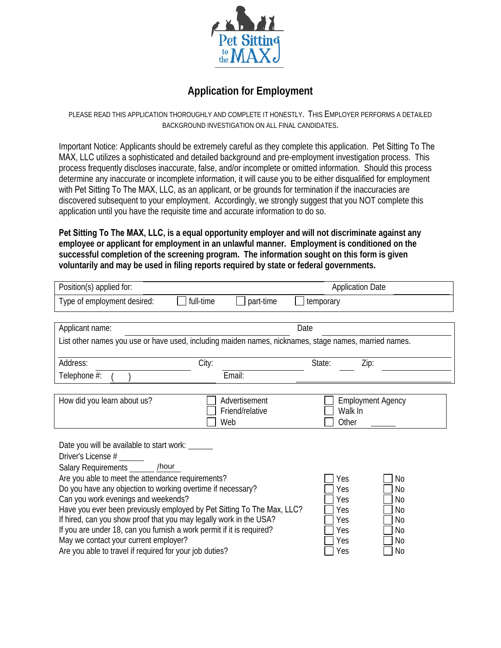

# **Application for Employment**

PLEASE READ THIS APPLICATION THOROUGHLY AND COMPLETE IT HONESTLY. THIS EMPLOYER PERFORMS A DETAILED BACKGROUND INVESTIGATION ON ALL FINAL CANDIDATES.

Important Notice: Applicants should be extremely careful as they complete this application. Pet Sitting To The MAX, LLC utilizes a sophisticated and detailed background and pre-employment investigation process. This process frequently discloses inaccurate, false, and/or incomplete or omitted information. Should this process determine any inaccurate or incomplete information, it will cause you to be either disqualified for employment with Pet Sitting To The MAX, LLC, as an applicant, or be grounds for termination if the inaccuracies are discovered subsequent to your employment. Accordingly, we strongly suggest that you NOT complete this application until you have the requisite time and accurate information to do so.

**Pet Sitting To The MAX, LLC, is a equal opportunity employer and will not discriminate against any employee or applicant for employment in an unlawful manner. Employment is conditioned on the successful completion of the screening program. The information sought on this form is given voluntarily and may be used in filing reports required by state or federal governments.** 

| Position(s) applied for:                                                                                                                    |                                  | <b>Application Date</b>             |
|---------------------------------------------------------------------------------------------------------------------------------------------|----------------------------------|-------------------------------------|
| Type of employment desired:<br>full-time                                                                                                    | part-time                        | temporary                           |
|                                                                                                                                             |                                  |                                     |
| Applicant name:                                                                                                                             | Date                             |                                     |
| List other names you use or have used, including maiden names, nicknames, stage names, married names.                                       |                                  |                                     |
| Address:<br>City:                                                                                                                           |                                  | State:<br>Zip:                      |
| Telephone #:                                                                                                                                | Email:                           |                                     |
|                                                                                                                                             |                                  |                                     |
| How did you learn about us?                                                                                                                 | Advertisement<br>Friend/relative | <b>Employment Agency</b><br>Walk In |
|                                                                                                                                             | Web                              | Other                               |
| Date you will be available to start work: ______                                                                                            |                                  |                                     |
| Driver's License #                                                                                                                          |                                  |                                     |
| <b>Salary Requirements</b><br>/hour                                                                                                         |                                  |                                     |
| Are you able to meet the attendance requirements?                                                                                           |                                  | No<br>Yes                           |
| Do you have any objection to working overtime if necessary?                                                                                 |                                  | Yes<br>No                           |
| Can you work evenings and weekends?                                                                                                         |                                  | <b>No</b><br>Yes                    |
| Have you ever been previously employed by Pet Sitting To The Max, LLC?                                                                      |                                  | No<br>Yes                           |
| If hired, can you show proof that you may legally work in the USA?<br>If you are under 18, can you furnish a work permit if it is required? |                                  | <b>No</b><br>Yes<br>No<br>Yes       |
| May we contact your current employer?                                                                                                       |                                  | No<br>Yes                           |
| Are you able to travel if required for your job duties?                                                                                     |                                  | No<br>Yes                           |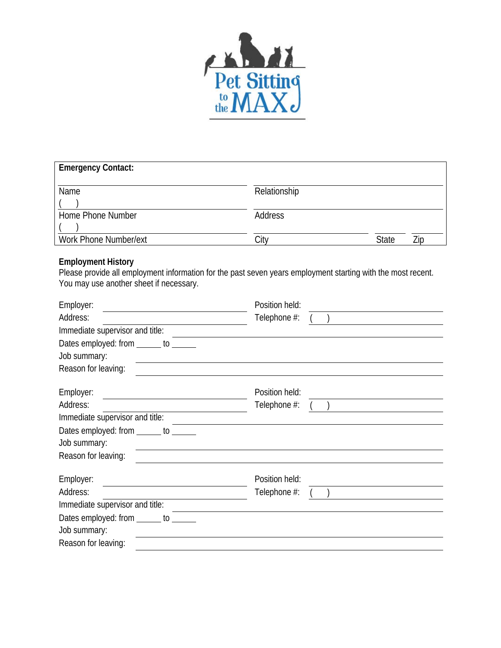

| <b>Emergency Contact:</b> |                |              |  |
|---------------------------|----------------|--------------|--|
| Name                      | Relationship   |              |  |
| Home Phone Number         | <b>Address</b> |              |  |
| Work Phone Number/ext     | Citv           | <b>State</b> |  |

### **Employment History**

Please provide all employment information for the past seven years employment starting with the most recent. You may use another sheet if necessary.

| Position held: |
|----------------|
| Telephone #:   |
|                |
|                |
|                |
|                |
| Position held: |
| Telephone #:   |
|                |
|                |
|                |
|                |
| Position held: |
| Telephone #:   |
|                |
|                |
|                |
|                |
|                |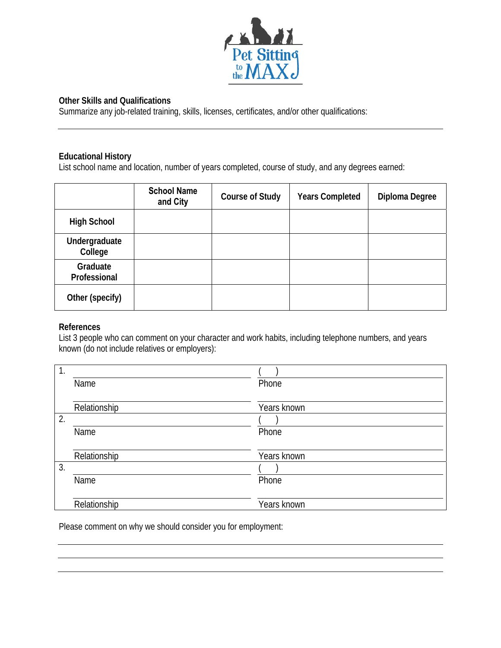

## **Other Skills and Qualifications**

Summarize any job-related training, skills, licenses, certificates, and/or other qualifications:

#### **Educational History**

List school name and location, number of years completed, course of study, and any degrees earned:

|                          | <b>School Name</b><br>and City | <b>Course of Study</b> | <b>Years Completed</b> | Diploma Degree |
|--------------------------|--------------------------------|------------------------|------------------------|----------------|
| <b>High School</b>       |                                |                        |                        |                |
| Undergraduate<br>College |                                |                        |                        |                |
| Graduate<br>Professional |                                |                        |                        |                |
| Other (specify)          |                                |                        |                        |                |

#### **References**

List 3 people who can comment on your character and work habits, including telephone numbers, and years known (do not include relatives or employers):

| $\mathbf{1}$ . |              |             |  |
|----------------|--------------|-------------|--|
|                | Name         | Phone       |  |
|                | Relationship | Years known |  |
| 2.             |              |             |  |
|                | Name         | Phone       |  |
|                | Relationship | Years known |  |
| 3.             |              |             |  |
|                | Name         | Phone       |  |
|                | Relationship | Years known |  |

Please comment on why we should consider you for employment: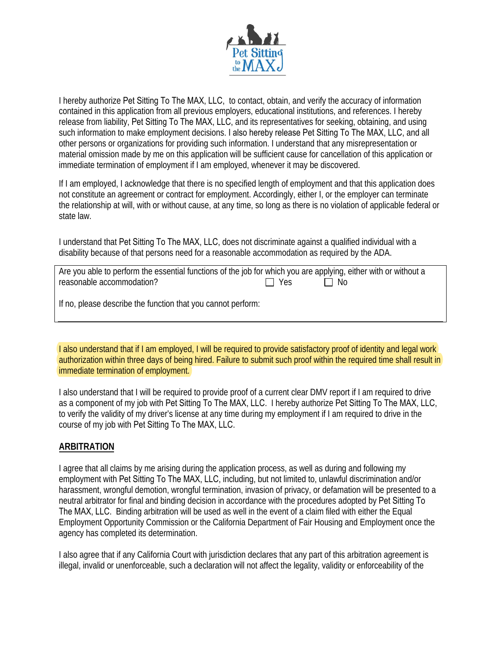

I hereby authorize Pet Sitting To The MAX, LLC, to contact, obtain, and verify the accuracy of information contained in this application from all previous employers, educational institutions, and references. I hereby release from liability, Pet Sitting To The MAX, LLC, and its representatives for seeking, obtaining, and using such information to make employment decisions. I also hereby release Pet Sitting To The MAX, LLC, and all other persons or organizations for providing such information. I understand that any misrepresentation or material omission made by me on this application will be sufficient cause for cancellation of this application or immediate termination of employment if I am employed, whenever it may be discovered.

If I am employed, I acknowledge that there is no specified length of employment and that this application does not constitute an agreement or contract for employment. Accordingly, either I, or the employer can terminate the relationship at will, with or without cause, at any time, so long as there is no violation of applicable federal or state law.

I understand that Pet Sitting To The MAX, LLC, does not discriminate against a qualified individual with a disability because of that persons need for a reasonable accommodation as required by the ADA.

| Are you able to perform the essential functions of the job for which you are applying, either with or without a |       |      |  |
|-----------------------------------------------------------------------------------------------------------------|-------|------|--|
| reasonable accommodation?                                                                                       | □ Yes | 7 No |  |
| If no, please describe the function that you cannot perform:                                                    |       |      |  |

I also understand that if I am employed, I will be required to provide satisfactory proof of identity and legal work authorization within three days of being hired. Failure to submit such proof within the required time shall result in immediate termination of employment.

I also understand that I will be required to provide proof of a current clear DMV report if I am required to drive as a component of my job with Pet Sitting To The MAX, LLC. I hereby authorize Pet Sitting To The MAX, LLC, to verify the validity of my driver's license at any time during my employment if I am required to drive in the course of my job with Pet Sitting To The MAX, LLC.

#### **ARBITRATION**

I agree that all claims by me arising during the application process, as well as during and following my employment with Pet Sitting To The MAX, LLC, including, but not limited to, unlawful discrimination and/or harassment, wrongful demotion, wrongful termination, invasion of privacy, or defamation will be presented to a neutral arbitrator for final and binding decision in accordance with the procedures adopted by Pet Sitting To The MAX, LLC. Binding arbitration will be used as well in the event of a claim filed with either the Equal Employment Opportunity Commission or the California Department of Fair Housing and Employment once the agency has completed its determination.

I also agree that if any California Court with jurisdiction declares that any part of this arbitration agreement is illegal, invalid or unenforceable, such a declaration will not affect the legality, validity or enforceability of the